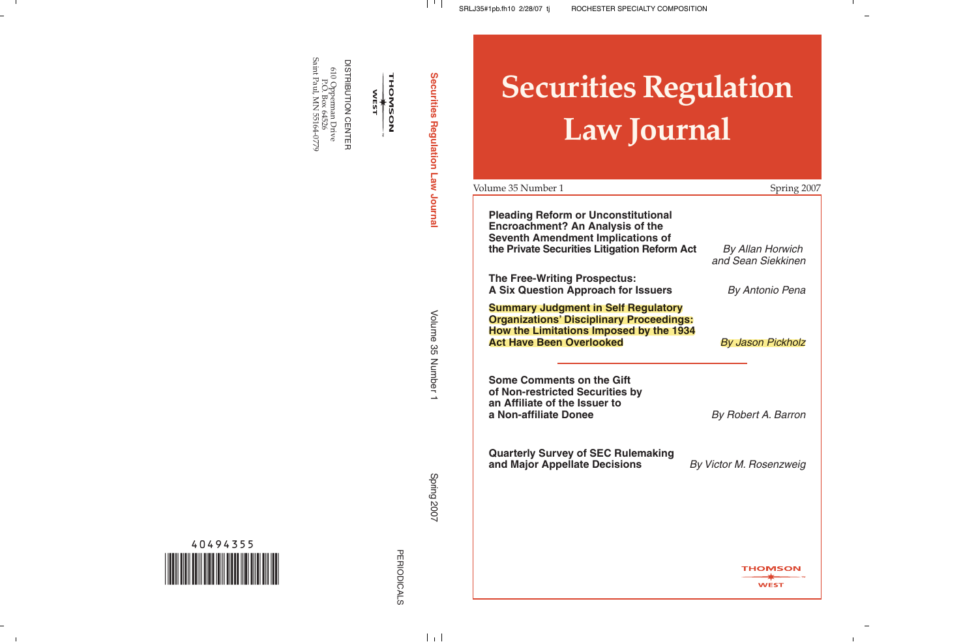610 Opperman Drive<br>FO. Box 64526<br>Saint Paul, MN 55164-0779 Saint Paul, MN 55164-0779 DISTRIBUTION CENTER DISTRIBUTION CENTER 610 Opperman Drive P.O. Box 64526

THOMSON<br>
WEST

Securities Regulation Law Journal **Securities Regulation Law Journal**

 $\begin{array}{c|c} \hline \end{array}$ 

Volume 35 Number 1

Volume 35 Number 1

**Spring 2007** Spring 2007

 $\pm$ 

# **Securities Regulation Law Journal**

| Volume 35 Number 1                                                                                                                                                                | Spring 2007                                   |
|-----------------------------------------------------------------------------------------------------------------------------------------------------------------------------------|-----------------------------------------------|
| <b>Pleading Reform or Unconstitutional</b><br><b>Encroachment? An Analysis of the</b><br><b>Seventh Amendment Implications of</b><br>the Private Securities Litigation Reform Act | <b>By Allan Horwich</b><br>and Sean Siekkinen |
| <b>The Free-Writing Prospectus:</b><br><b>A Six Question Approach for Issuers</b>                                                                                                 | By Antonio Pena                               |
| <b>Summary Judgment in Self Regulatory</b><br><b>Organizations' Disciplinary Proceedings:</b><br>How the Limitations Imposed by the 1934<br><b>Act Have Been Overlooked</b>       | By Jason Pickholz                             |
| <b>Some Comments on the Gift</b><br>of Non-restricted Securities by<br>an Affiliate of the Issuer to<br>a Non-affiliate Donee                                                     | By Robert A. Barron                           |
| <b>Quarterly Survey of SEC Rulemaking</b><br>and Major Appellate Decisions                                                                                                        | By Victor M. Rosenzweig                       |
|                                                                                                                                                                                   |                                               |
|                                                                                                                                                                                   |                                               |
|                                                                                                                                                                                   | THOMSON<br><b>WEST</b>                        |

 $\mathbf{I}$ 

40494355 \*40494355\*

- 11

 $\sim$  1

PERIODICALS PERIODICALS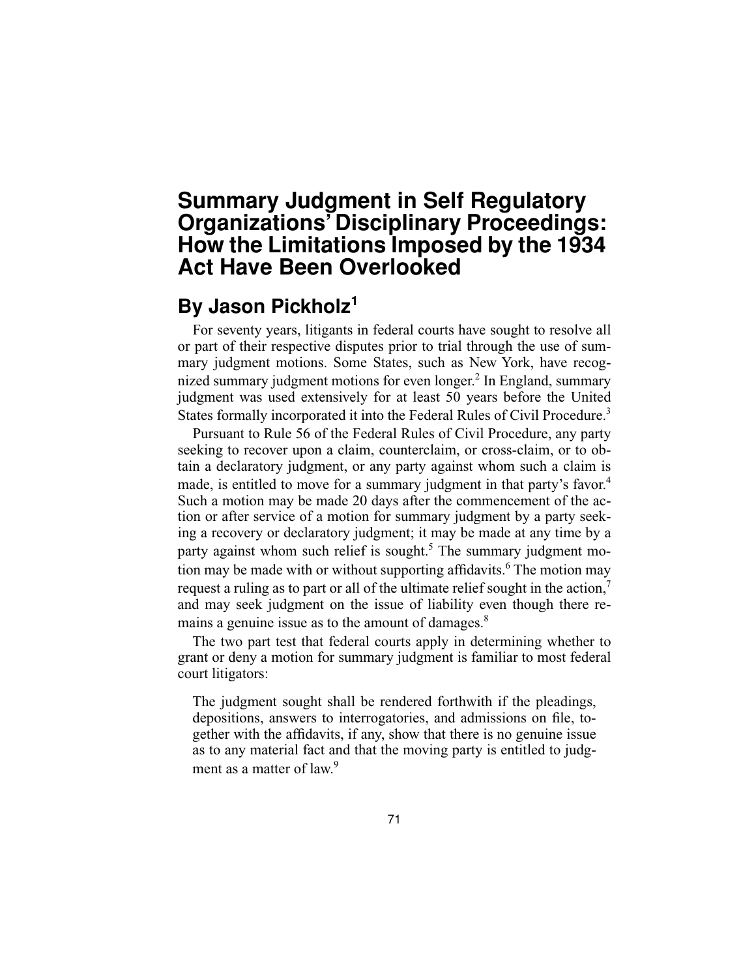# **Summary Judgment in Self Regulatory Organizations' Disciplinary Proceedings: How the Limitations Imposed by the 1934 Act Have Been Overlooked**

# **By Jason Pickholz<sup>1</sup>**

For seventy years, litigants in federal courts have sought to resolve all or part of their respective disputes prior to trial through the use of summary judgment motions. Some States, such as New York, have recognized summary judgment motions for even longer.<sup>2</sup> In England, summary judgment was used extensively for at least 50 years before the United States formally incorporated it into the Federal Rules of Civil Procedure.<sup>3</sup>

Pursuant to Rule 56 of the Federal Rules of Civil Procedure, any party seeking to recover upon a claim, counterclaim, or cross-claim, or to obtain a declaratory judgment, or any party against whom such a claim is made, is entitled to move for a summary judgment in that party's favor.<sup>4</sup> Such a motion may be made 20 days after the commencement of the action or after service of a motion for summary judgment by a party seeking a recovery or declaratory judgment; it may be made at any time by a party against whom such relief is sought.<sup>5</sup> The summary judgment motion may be made with or without supporting affidavits.<sup>6</sup> The motion may request a ruling as to part or all of the ultimate relief sought in the action, $^7$ and may seek judgment on the issue of liability even though there remains a genuine issue as to the amount of damages.<sup>8</sup>

The two part test that federal courts apply in determining whether to grant or deny a motion for summary judgment is familiar to most federal court litigators:

The judgment sought shall be rendered forthwith if the pleadings, depositions, answers to interrogatories, and admissions on file, together with the affidavits, if any, show that there is no genuine issue as to any material fact and that the moving party is entitled to judgment as a matter of law.<sup>9</sup>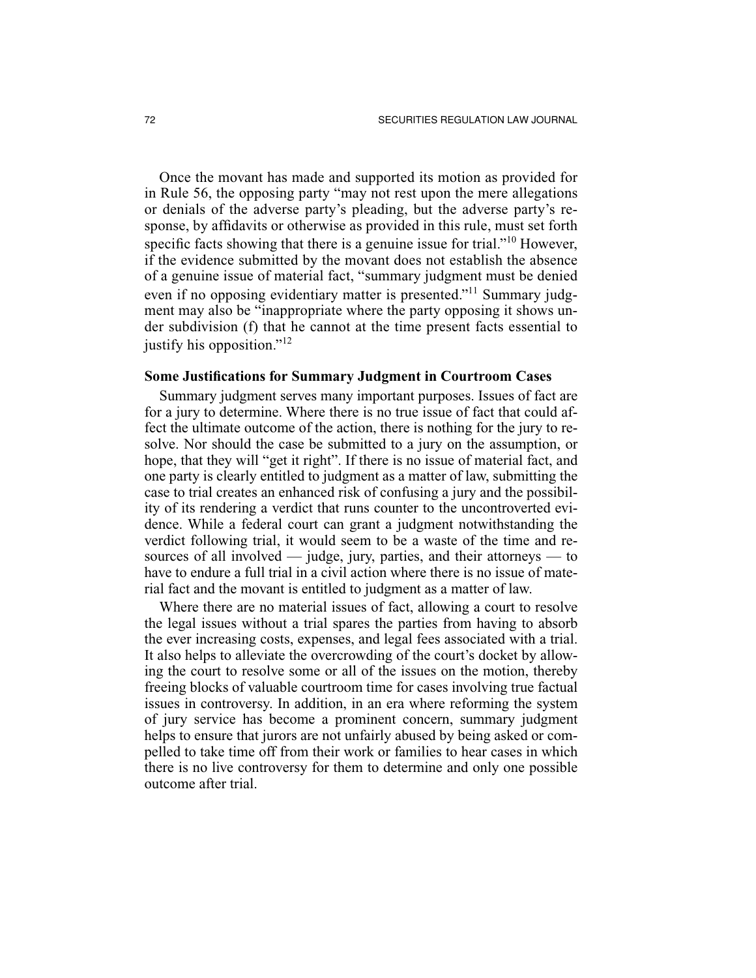Once the movant has made and supported its motion as provided for in Rule 56, the opposing party "may not rest upon the mere allegations or denials of the adverse party's pleading, but the adverse party's response, by affidavits or otherwise as provided in this rule, must set forth specific facts showing that there is a genuine issue for trial."10 However, if the evidence submitted by the movant does not establish the absence of a genuine issue of material fact, "summary judgment must be denied even if no opposing evidentiary matter is presented."11 Summary judgment may also be "inappropriate where the party opposing it shows under subdivision (f) that he cannot at the time present facts essential to justify his opposition."<sup>12</sup>

#### **Some Justifications for Summary Judgment in Courtroom Cases**

Summary judgment serves many important purposes. Issues of fact are for a jury to determine. Where there is no true issue of fact that could affect the ultimate outcome of the action, there is nothing for the jury to resolve. Nor should the case be submitted to a jury on the assumption, or hope, that they will "get it right". If there is no issue of material fact, and one party is clearly entitled to judgment as a matter of law, submitting the case to trial creates an enhanced risk of confusing a jury and the possibility of its rendering a verdict that runs counter to the uncontroverted evidence. While a federal court can grant a judgment notwithstanding the verdict following trial, it would seem to be a waste of the time and resources of all involved  $-$  judge, jury, parties, and their attorneys  $-$  to have to endure a full trial in a civil action where there is no issue of material fact and the movant is entitled to judgment as a matter of law.

Where there are no material issues of fact, allowing a court to resolve the legal issues without a trial spares the parties from having to absorb the ever increasing costs, expenses, and legal fees associated with a trial. It also helps to alleviate the overcrowding of the court's docket by allowing the court to resolve some or all of the issues on the motion, thereby freeing blocks of valuable courtroom time for cases involving true factual issues in controversy. In addition, in an era where reforming the system of jury service has become a prominent concern, summary judgment helps to ensure that jurors are not unfairly abused by being asked or compelled to take time off from their work or families to hear cases in which there is no live controversy for them to determine and only one possible outcome after trial.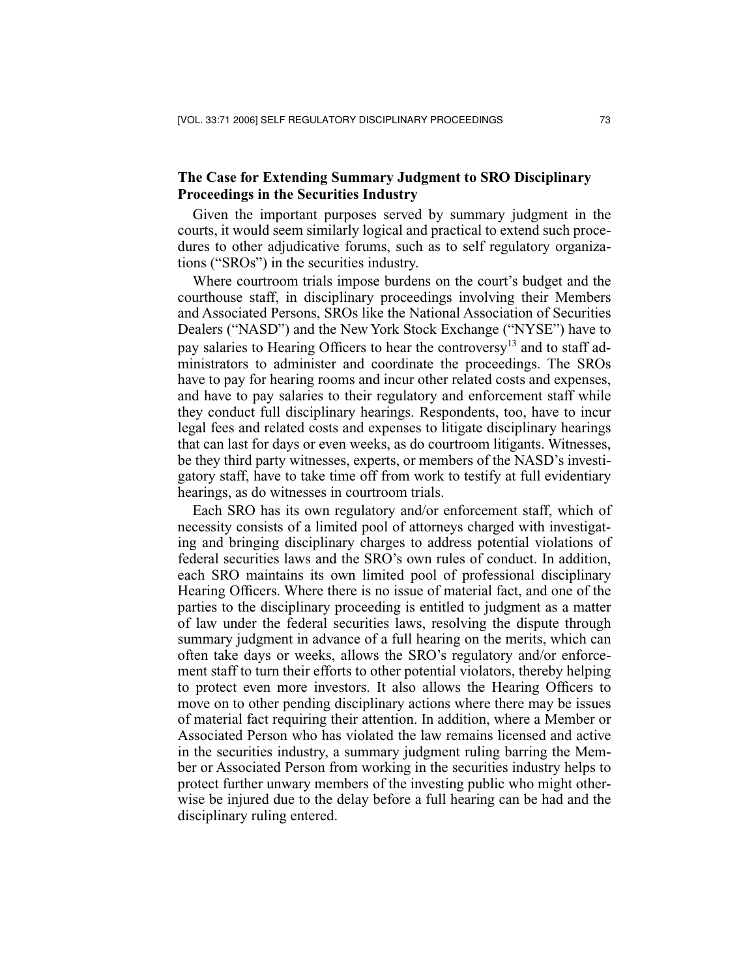## **The Case for Extending Summary Judgment to SRO Disciplinary Proceedings in the Securities Industry**

Given the important purposes served by summary judgment in the courts, it would seem similarly logical and practical to extend such procedures to other adjudicative forums, such as to self regulatory organizations ("SROs") in the securities industry.

Where courtroom trials impose burdens on the court's budget and the courthouse staff, in disciplinary proceedings involving their Members and Associated Persons, SROs like the National Association of Securities Dealers ("NASD") and the New York Stock Exchange ("NYSE") have to pay salaries to Hearing Officers to hear the controversy<sup>13</sup> and to staff administrators to administer and coordinate the proceedings. The SROs have to pay for hearing rooms and incur other related costs and expenses, and have to pay salaries to their regulatory and enforcement staff while they conduct full disciplinary hearings. Respondents, too, have to incur legal fees and related costs and expenses to litigate disciplinary hearings that can last for days or even weeks, as do courtroom litigants. Witnesses, be they third party witnesses, experts, or members of the NASD's investigatory staff, have to take time off from work to testify at full evidentiary hearings, as do witnesses in courtroom trials.

Each SRO has its own regulatory and/or enforcement staff, which of necessity consists of a limited pool of attorneys charged with investigating and bringing disciplinary charges to address potential violations of federal securities laws and the SRO's own rules of conduct. In addition, each SRO maintains its own limited pool of professional disciplinary Hearing Officers. Where there is no issue of material fact, and one of the parties to the disciplinary proceeding is entitled to judgment as a matter of law under the federal securities laws, resolving the dispute through summary judgment in advance of a full hearing on the merits, which can often take days or weeks, allows the SRO's regulatory and/or enforcement staff to turn their efforts to other potential violators, thereby helping to protect even more investors. It also allows the Hearing Officers to move on to other pending disciplinary actions where there may be issues of material fact requiring their attention. In addition, where a Member or Associated Person who has violated the law remains licensed and active in the securities industry, a summary judgment ruling barring the Member or Associated Person from working in the securities industry helps to protect further unwary members of the investing public who might otherwise be injured due to the delay before a full hearing can be had and the disciplinary ruling entered.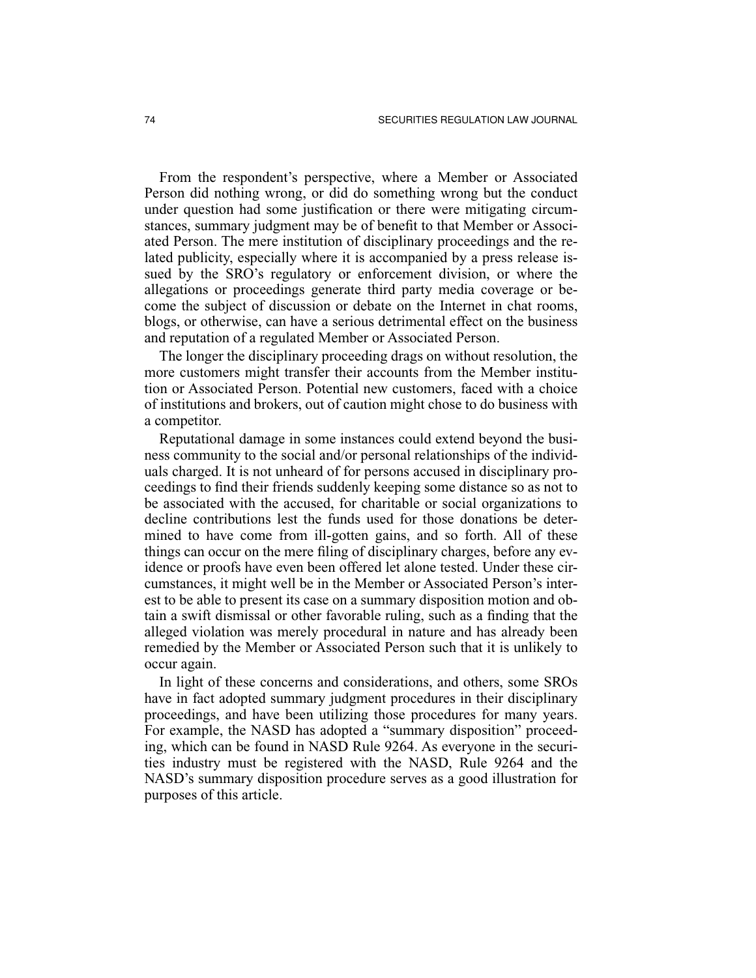From the respondent's perspective, where a Member or Associated Person did nothing wrong, or did do something wrong but the conduct under question had some justification or there were mitigating circumstances, summary judgment may be of benefit to that Member or Associated Person. The mere institution of disciplinary proceedings and the related publicity, especially where it is accompanied by a press release issued by the SRO's regulatory or enforcement division, or where the allegations or proceedings generate third party media coverage or become the subject of discussion or debate on the Internet in chat rooms, blogs, or otherwise, can have a serious detrimental effect on the business and reputation of a regulated Member or Associated Person.

The longer the disciplinary proceeding drags on without resolution, the more customers might transfer their accounts from the Member institution or Associated Person. Potential new customers, faced with a choice of institutions and brokers, out of caution might chose to do business with a competitor.

Reputational damage in some instances could extend beyond the business community to the social and/or personal relationships of the individuals charged. It is not unheard of for persons accused in disciplinary proceedings to find their friends suddenly keeping some distance so as not to be associated with the accused, for charitable or social organizations to decline contributions lest the funds used for those donations be determined to have come from ill-gotten gains, and so forth. All of these things can occur on the mere filing of disciplinary charges, before any evidence or proofs have even been offered let alone tested. Under these circumstances, it might well be in the Member or Associated Person's interest to be able to present its case on a summary disposition motion and obtain a swift dismissal or other favorable ruling, such as a finding that the alleged violation was merely procedural in nature and has already been remedied by the Member or Associated Person such that it is unlikely to occur again.

In light of these concerns and considerations, and others, some SROs have in fact adopted summary judgment procedures in their disciplinary proceedings, and have been utilizing those procedures for many years. For example, the NASD has adopted a "summary disposition" proceeding, which can be found in NASD Rule 9264. As everyone in the securities industry must be registered with the NASD, Rule 9264 and the NASD's summary disposition procedure serves as a good illustration for purposes of this article.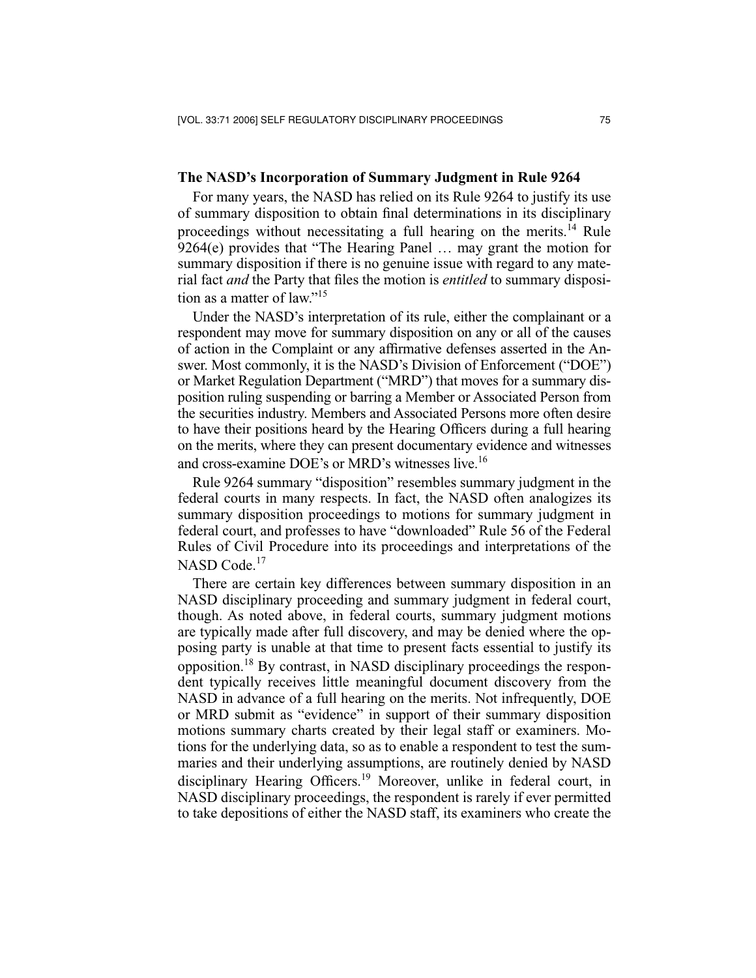#### **The NASD's Incorporation of Summary Judgment in Rule 9264**

For many years, the NASD has relied on its Rule 9264 to justify its use of summary disposition to obtain final determinations in its disciplinary proceedings without necessitating a full hearing on the merits.<sup>14</sup> Rule 9264(e) provides that "The Hearing Panel … may grant the motion for summary disposition if there is no genuine issue with regard to any material fact *and* the Party that files the motion is *entitled* to summary disposition as a matter of law."<sup>15</sup>

Under the NASD's interpretation of its rule, either the complainant or a respondent may move for summary disposition on any or all of the causes of action in the Complaint or any affirmative defenses asserted in the Answer. Most commonly, it is the NASD's Division of Enforcement ("DOE") or Market Regulation Department ("MRD") that moves for a summary disposition ruling suspending or barring a Member or Associated Person from the securities industry. Members and Associated Persons more often desire to have their positions heard by the Hearing Officers during a full hearing on the merits, where they can present documentary evidence and witnesses and cross-examine DOE's or MRD's witnesses live.<sup>16</sup>

Rule 9264 summary "disposition" resembles summary judgment in the federal courts in many respects. In fact, the NASD often analogizes its summary disposition proceedings to motions for summary judgment in federal court, and professes to have "downloaded" Rule 56 of the Federal Rules of Civil Procedure into its proceedings and interpretations of the NASD Code.<sup>17</sup>

There are certain key differences between summary disposition in an NASD disciplinary proceeding and summary judgment in federal court, though. As noted above, in federal courts, summary judgment motions are typically made after full discovery, and may be denied where the opposing party is unable at that time to present facts essential to justify its opposition.18 By contrast, in NASD disciplinary proceedings the respondent typically receives little meaningful document discovery from the NASD in advance of a full hearing on the merits. Not infrequently, DOE or MRD submit as "evidence" in support of their summary disposition motions summary charts created by their legal staff or examiners. Motions for the underlying data, so as to enable a respondent to test the summaries and their underlying assumptions, are routinely denied by NASD disciplinary Hearing Officers.19 Moreover, unlike in federal court, in NASD disciplinary proceedings, the respondent is rarely if ever permitted to take depositions of either the NASD staff, its examiners who create the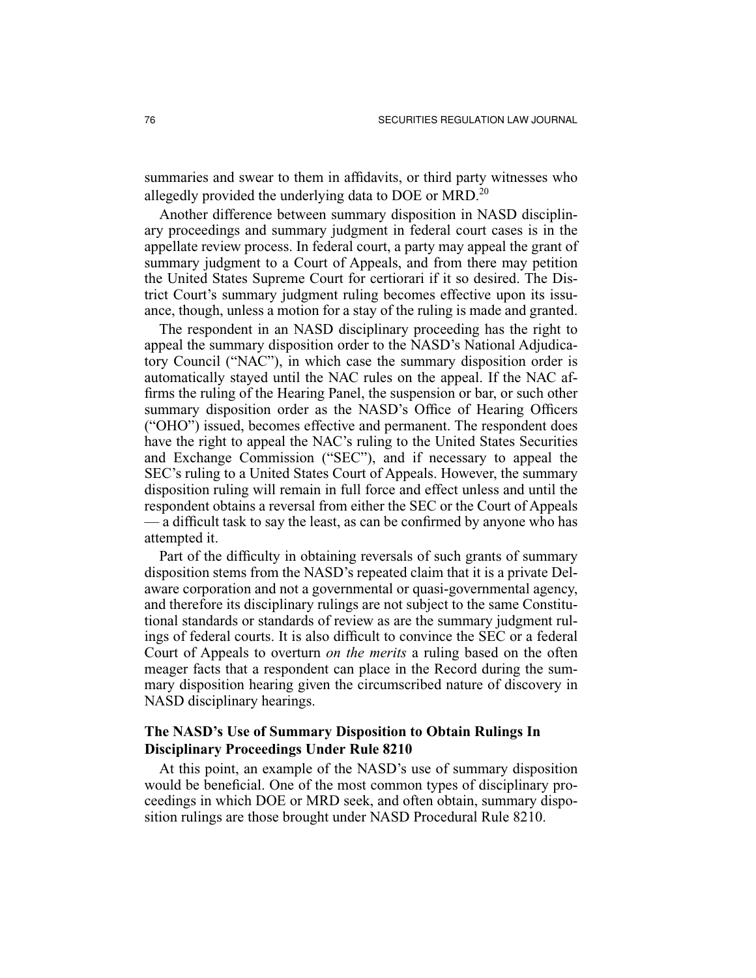summaries and swear to them in affidavits, or third party witnesses who allegedly provided the underlying data to DOE or MRD.<sup>20</sup>

Another difference between summary disposition in NASD disciplinary proceedings and summary judgment in federal court cases is in the appellate review process. In federal court, a party may appeal the grant of summary judgment to a Court of Appeals, and from there may petition the United States Supreme Court for certiorari if it so desired. The District Court's summary judgment ruling becomes effective upon its issuance, though, unless a motion for a stay of the ruling is made and granted.

The respondent in an NASD disciplinary proceeding has the right to appeal the summary disposition order to the NASD's National Adjudicatory Council ("NAC"), in which case the summary disposition order is automatically stayed until the NAC rules on the appeal. If the NAC affirms the ruling of the Hearing Panel, the suspension or bar, or such other summary disposition order as the NASD's Office of Hearing Officers ("OHO") issued, becomes effective and permanent. The respondent does have the right to appeal the NAC's ruling to the United States Securities and Exchange Commission ("SEC"), and if necessary to appeal the SEC's ruling to a United States Court of Appeals. However, the summary disposition ruling will remain in full force and effect unless and until the respondent obtains a reversal from either the SEC or the Court of Appeals — a difficult task to say the least, as can be confirmed by anyone who has attempted it.

Part of the difficulty in obtaining reversals of such grants of summary disposition stems from the NASD's repeated claim that it is a private Delaware corporation and not a governmental or quasi-governmental agency, and therefore its disciplinary rulings are not subject to the same Constitutional standards or standards of review as are the summary judgment rulings of federal courts. It is also difficult to convince the SEC or a federal Court of Appeals to overturn *on the merits* a ruling based on the often meager facts that a respondent can place in the Record during the summary disposition hearing given the circumscribed nature of discovery in NASD disciplinary hearings.

## **The NASD's Use of Summary Disposition to Obtain Rulings In Disciplinary Proceedings Under Rule 8210**

At this point, an example of the NASD's use of summary disposition would be beneficial. One of the most common types of disciplinary proceedings in which DOE or MRD seek, and often obtain, summary disposition rulings are those brought under NASD Procedural Rule 8210.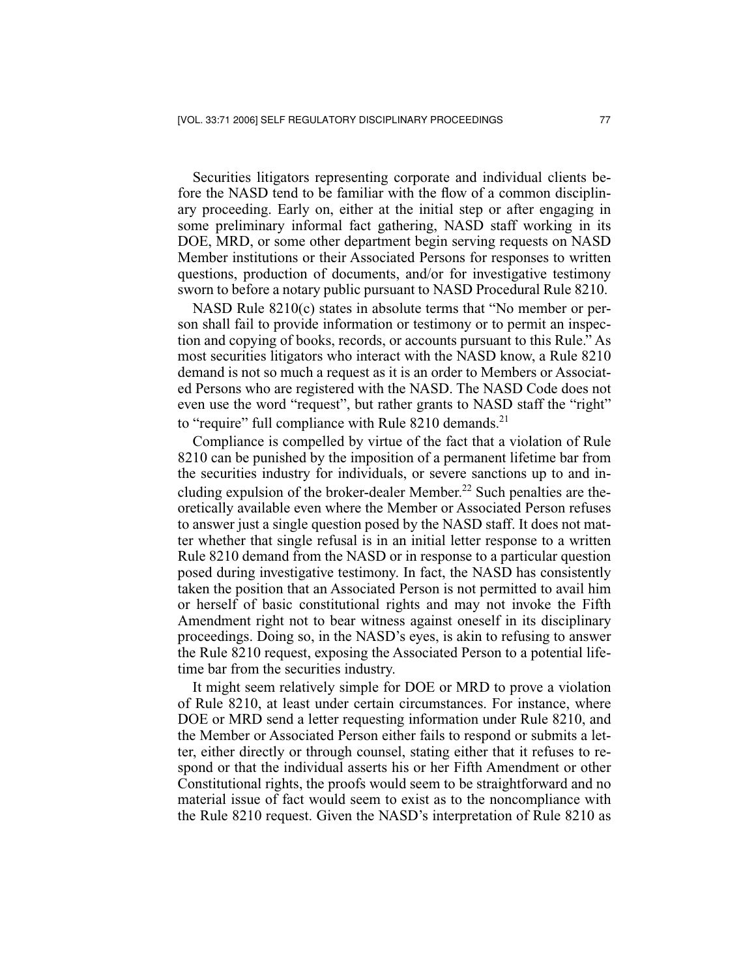Securities litigators representing corporate and individual clients before the NASD tend to be familiar with the flow of a common disciplinary proceeding. Early on, either at the initial step or after engaging in some preliminary informal fact gathering, NASD staff working in its DOE, MRD, or some other department begin serving requests on NASD Member institutions or their Associated Persons for responses to written questions, production of documents, and/or for investigative testimony sworn to before a notary public pursuant to NASD Procedural Rule 8210.

NASD Rule 8210(c) states in absolute terms that "No member or person shall fail to provide information or testimony or to permit an inspection and copying of books, records, or accounts pursuant to this Rule." As most securities litigators who interact with the NASD know, a Rule 8210 demand is not so much a request as it is an order to Members or Associated Persons who are registered with the NASD. The NASD Code does not even use the word "request", but rather grants to NASD staff the "right" to "require" full compliance with Rule  $8210$  demands.<sup>21</sup>

Compliance is compelled by virtue of the fact that a violation of Rule 8210 can be punished by the imposition of a permanent lifetime bar from the securities industry for individuals, or severe sanctions up to and including expulsion of the broker-dealer Member.<sup>22</sup> Such penalties are theoretically available even where the Member or Associated Person refuses to answer just a single question posed by the NASD staff. It does not matter whether that single refusal is in an initial letter response to a written Rule 8210 demand from the NASD or in response to a particular question posed during investigative testimony. In fact, the NASD has consistently taken the position that an Associated Person is not permitted to avail him or herself of basic constitutional rights and may not invoke the Fifth Amendment right not to bear witness against oneself in its disciplinary proceedings. Doing so, in the NASD's eyes, is akin to refusing to answer the Rule 8210 request, exposing the Associated Person to a potential lifetime bar from the securities industry.

It might seem relatively simple for DOE or MRD to prove a violation of Rule 8210, at least under certain circumstances. For instance, where DOE or MRD send a letter requesting information under Rule 8210, and the Member or Associated Person either fails to respond or submits a letter, either directly or through counsel, stating either that it refuses to respond or that the individual asserts his or her Fifth Amendment or other Constitutional rights, the proofs would seem to be straightforward and no material issue of fact would seem to exist as to the noncompliance with the Rule 8210 request. Given the NASD's interpretation of Rule 8210 as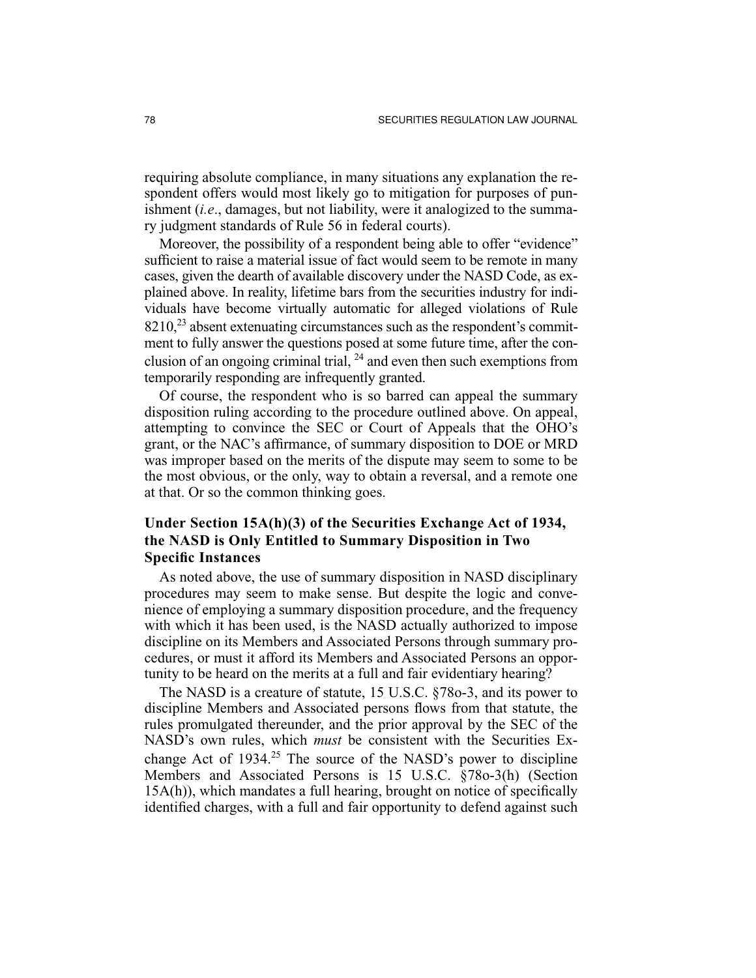requiring absolute compliance, in many situations any explanation the respondent offers would most likely go to mitigation for purposes of punishment (*i.e*., damages, but not liability, were it analogized to the summary judgment standards of Rule 56 in federal courts).

Moreover, the possibility of a respondent being able to offer "evidence" sufficient to raise a material issue of fact would seem to be remote in many cases, given the dearth of available discovery under the NASD Code, as explained above. In reality, lifetime bars from the securities industry for individuals have become virtually automatic for alleged violations of Rule  $8210<sup>23</sup>$  absent extenuating circumstances such as the respondent's commitment to fully answer the questions posed at some future time, after the conclusion of an ongoing criminal trial,  $^{24}$  and even then such exemptions from temporarily responding are infrequently granted.

Of course, the respondent who is so barred can appeal the summary disposition ruling according to the procedure outlined above. On appeal, attempting to convince the SEC or Court of Appeals that the OHO's grant, or the NAC's affirmance, of summary disposition to DOE or MRD was improper based on the merits of the dispute may seem to some to be the most obvious, or the only, way to obtain a reversal, and a remote one at that. Or so the common thinking goes.

# **Under Section 15A(h)(3) of the Securities Exchange Act of 1934, the NASD is Only Entitled to Summary Disposition in Two Specific Instances**

As noted above, the use of summary disposition in NASD disciplinary procedures may seem to make sense. But despite the logic and convenience of employing a summary disposition procedure, and the frequency with which it has been used, is the NASD actually authorized to impose discipline on its Members and Associated Persons through summary procedures, or must it afford its Members and Associated Persons an opportunity to be heard on the merits at a full and fair evidentiary hearing?

The NASD is a creature of statute, 15 U.S.C. §78o-3, and its power to discipline Members and Associated persons flows from that statute, the rules promulgated thereunder, and the prior approval by the SEC of the NASD's own rules, which *must* be consistent with the Securities Exchange Act of  $1934<sup>25</sup>$  The source of the NASD's power to discipline Members and Associated Persons is 15 U.S.C. §78o-3(h) (Section 15A(h)), which mandates a full hearing, brought on notice of specifically identified charges, with a full and fair opportunity to defend against such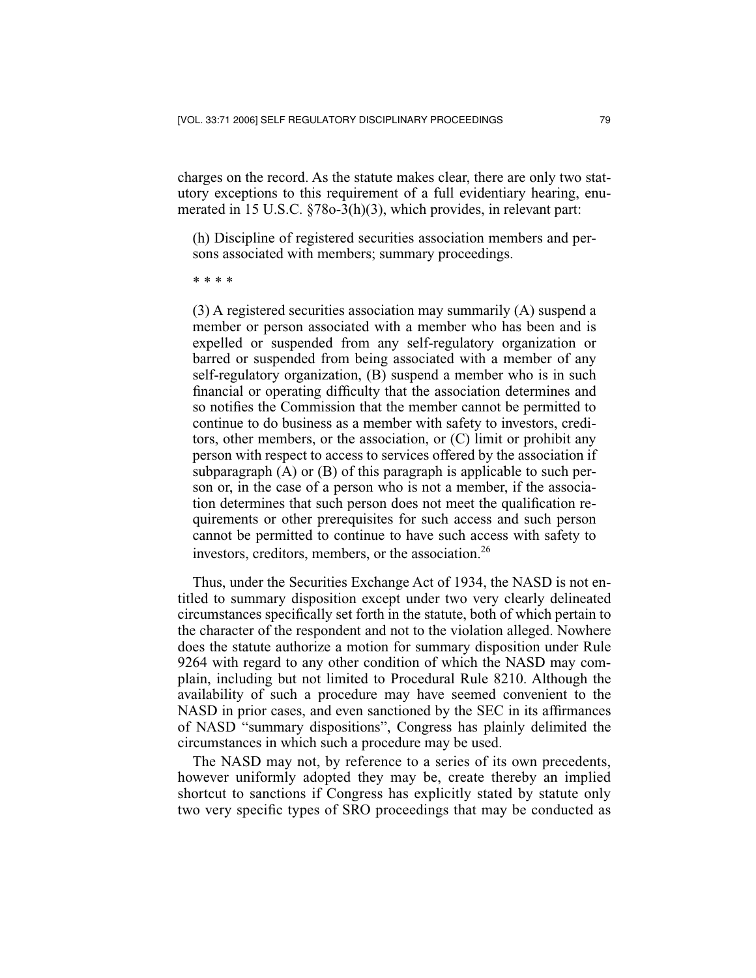charges on the record. As the statute makes clear, there are only two statutory exceptions to this requirement of a full evidentiary hearing, enumerated in 15 U.S.C. §78o-3(h)(3), which provides, in relevant part:

(h) Discipline of registered securities association members and persons associated with members; summary proceedings.

\* \* \* \*

(3) A registered securities association may summarily (A) suspend a member or person associated with a member who has been and is expelled or suspended from any self-regulatory organization or barred or suspended from being associated with a member of any self-regulatory organization, (B) suspend a member who is in such financial or operating difficulty that the association determines and so notifies the Commission that the member cannot be permitted to continue to do business as a member with safety to investors, creditors, other members, or the association, or (C) limit or prohibit any person with respect to access to services offered by the association if subparagraph (A) or (B) of this paragraph is applicable to such person or, in the case of a person who is not a member, if the association determines that such person does not meet the qualification requirements or other prerequisites for such access and such person cannot be permitted to continue to have such access with safety to investors, creditors, members, or the association.<sup>26</sup>

Thus, under the Securities Exchange Act of 1934, the NASD is not entitled to summary disposition except under two very clearly delineated circumstances specifically set forth in the statute, both of which pertain to the character of the respondent and not to the violation alleged. Nowhere does the statute authorize a motion for summary disposition under Rule 9264 with regard to any other condition of which the NASD may complain, including but not limited to Procedural Rule 8210. Although the availability of such a procedure may have seemed convenient to the NASD in prior cases, and even sanctioned by the SEC in its affirmances of NASD "summary dispositions", Congress has plainly delimited the circumstances in which such a procedure may be used.

The NASD may not, by reference to a series of its own precedents, however uniformly adopted they may be, create thereby an implied shortcut to sanctions if Congress has explicitly stated by statute only two very specific types of SRO proceedings that may be conducted as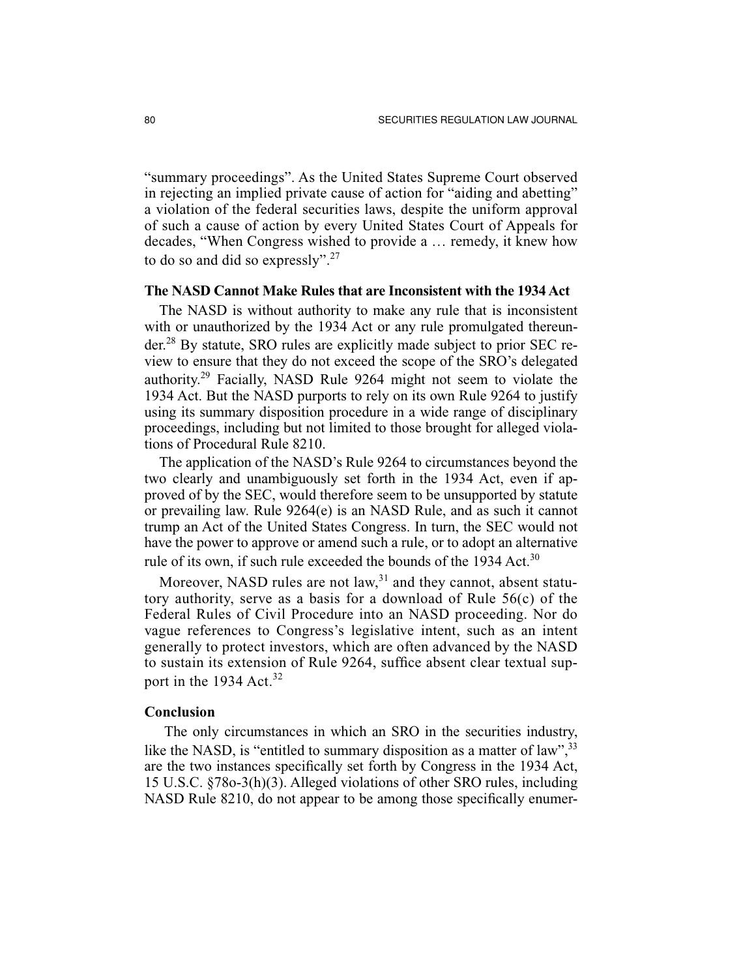"summary proceedings". As the United States Supreme Court observed in rejecting an implied private cause of action for "aiding and abetting" a violation of the federal securities laws, despite the uniform approval of such a cause of action by every United States Court of Appeals for decades, "When Congress wished to provide a … remedy, it knew how to do so and did so expressly".<sup>27</sup>

#### **The NASD Cannot Make Rules that are Inconsistent with the 1934 Act**

The NASD is without authority to make any rule that is inconsistent with or unauthorized by the 1934 Act or any rule promulgated thereunder.28 By statute, SRO rules are explicitly made subject to prior SEC review to ensure that they do not exceed the scope of the SRO's delegated authority.29 Facially, NASD Rule 9264 might not seem to violate the 1934 Act. But the NASD purports to rely on its own Rule 9264 to justify using its summary disposition procedure in a wide range of disciplinary proceedings, including but not limited to those brought for alleged violations of Procedural Rule 8210.

The application of the NASD's Rule 9264 to circumstances beyond the two clearly and unambiguously set forth in the 1934 Act, even if approved of by the SEC, would therefore seem to be unsupported by statute or prevailing law. Rule 9264(e) is an NASD Rule, and as such it cannot trump an Act of the United States Congress. In turn, the SEC would not have the power to approve or amend such a rule, or to adopt an alternative rule of its own, if such rule exceeded the bounds of the 1934 Act.<sup>30</sup>

Moreover, NASD rules are not  $law<sub>1</sub><sup>31</sup>$  and they cannot, absent statutory authority, serve as a basis for a download of Rule 56(c) of the Federal Rules of Civil Procedure into an NASD proceeding. Nor do vague references to Congress's legislative intent, such as an intent generally to protect investors, which are often advanced by the NASD to sustain its extension of Rule 9264, suffice absent clear textual support in the 1934  $Act.<sup>32</sup>$ 

### **Conclusion**

 The only circumstances in which an SRO in the securities industry, like the NASD, is "entitled to summary disposition as a matter of law",<sup>33</sup> are the two instances specifically set forth by Congress in the 1934 Act, 15 U.S.C. §78o-3(h)(3). Alleged violations of other SRO rules, including NASD Rule 8210, do not appear to be among those specifically enumer-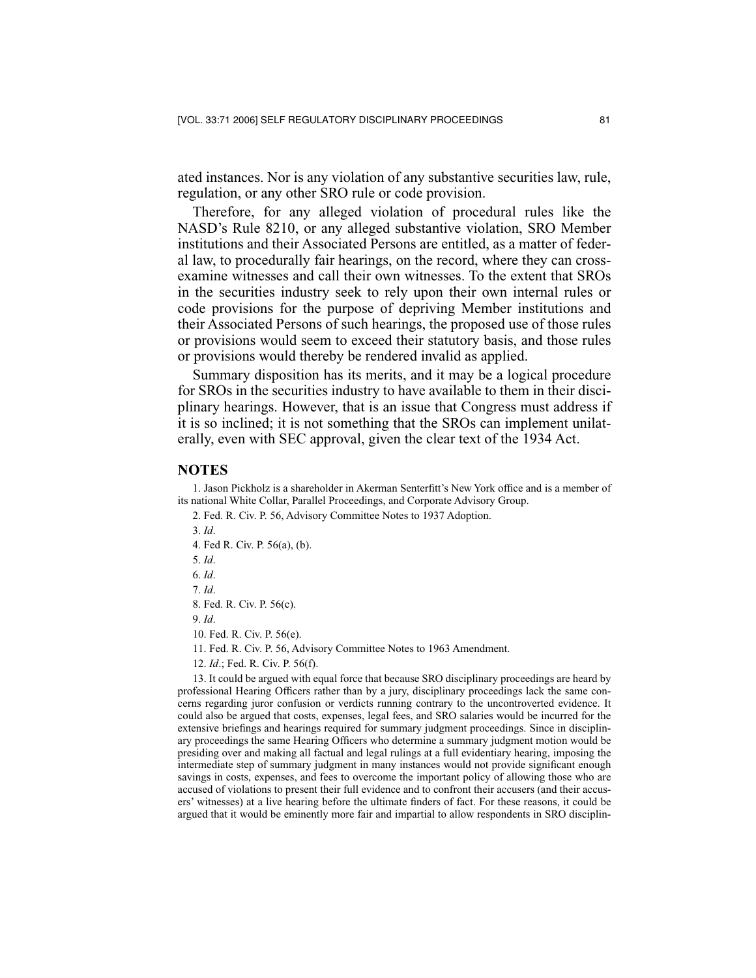ated instances. Nor is any violation of any substantive securities law, rule, regulation, or any other SRO rule or code provision.

Therefore, for any alleged violation of procedural rules like the NASD's Rule 8210, or any alleged substantive violation, SRO Member institutions and their Associated Persons are entitled, as a matter of federal law, to procedurally fair hearings, on the record, where they can crossexamine witnesses and call their own witnesses. To the extent that SROs in the securities industry seek to rely upon their own internal rules or code provisions for the purpose of depriving Member institutions and their Associated Persons of such hearings, the proposed use of those rules or provisions would seem to exceed their statutory basis, and those rules or provisions would thereby be rendered invalid as applied.

Summary disposition has its merits, and it may be a logical procedure for SROs in the securities industry to have available to them in their disciplinary hearings. However, that is an issue that Congress must address if it is so inclined; it is not something that the SROs can implement unilaterally, even with SEC approval, given the clear text of the 1934 Act.

#### **NOTES**

1. Jason Pickholz is a shareholder in Akerman Senterfitt's New York office and is a member of its national White Collar, Parallel Proceedings, and Corporate Advisory Group.

2. Fed. R. Civ. P. 56, Advisory Committee Notes to 1937 Adoption.

3. *Id*.

4. Fed R. Civ. P. 56(a), (b).

5. *Id*.

6. *Id*.

7. *Id*.

8. Fed. R. Civ. P. 56(c).

9. *Id*.

10. Fed. R. Civ. P. 56(e).

11. Fed. R. Civ. P. 56, Advisory Committee Notes to 1963 Amendment.

12. *Id*.; Fed. R. Civ. P. 56(f).

13. It could be argued with equal force that because SRO disciplinary proceedings are heard by professional Hearing Officers rather than by a jury, disciplinary proceedings lack the same concerns regarding juror confusion or verdicts running contrary to the uncontroverted evidence. It could also be argued that costs, expenses, legal fees, and SRO salaries would be incurred for the extensive briefings and hearings required for summary judgment proceedings. Since in disciplinary proceedings the same Hearing Officers who determine a summary judgment motion would be presiding over and making all factual and legal rulings at a full evidentiary hearing, imposing the intermediate step of summary judgment in many instances would not provide significant enough savings in costs, expenses, and fees to overcome the important policy of allowing those who are accused of violations to present their full evidence and to confront their accusers (and their accusers' witnesses) at a live hearing before the ultimate finders of fact. For these reasons, it could be argued that it would be eminently more fair and impartial to allow respondents in SRO disciplin-